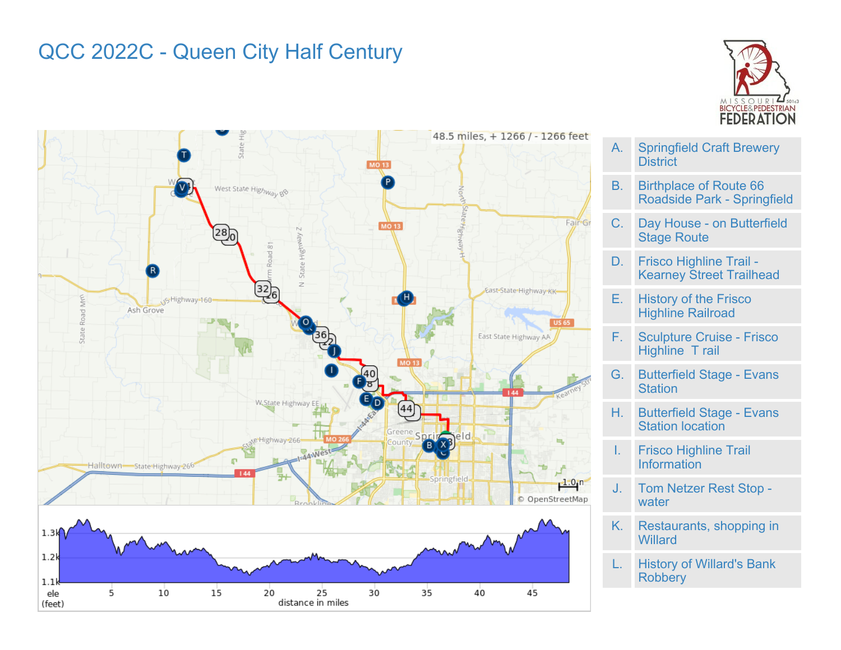## QCC 2022C - Queen City Half Century





**District** B. Birthplace of Route 66 Roadside Park - Springfield

A. Springfield Craft Brewery

- C. Day House on Butterfield Stage Route
- D. Frisco Highline Trail Kearney Street Trailhead
- E. History of the Frisco Highline Railroad
- F. Sculpture Cruise Frisco Highline T rail
- G. Butterfield Stage Evans **Station**
- H. Butterfield Stage Evans Station location
- I. Frisco Highline Trail Information
- J. Tom Netzer Rest Stop water
- K. Restaurants, shopping in **Willard**
- L. History of Willard's Bank **Robbery**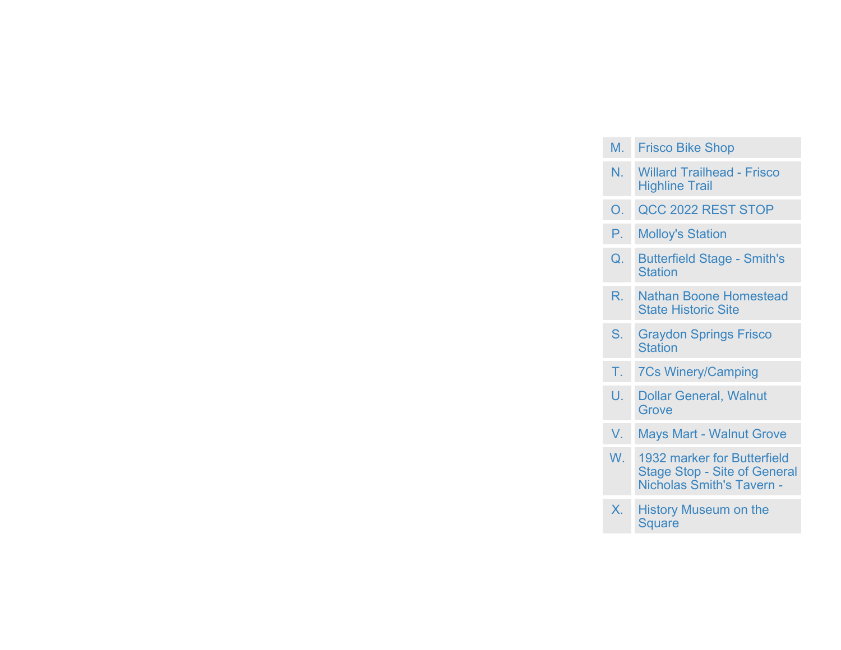| M.             | <b>Frisco Bike Shop</b>                                                                                |
|----------------|--------------------------------------------------------------------------------------------------------|
| N.             | <b>Willard Trailhead - Frisco</b><br><b>Highline Trail</b>                                             |
| O.             | QCC 2022 REST STOP                                                                                     |
| Р.             | <b>Molloy's Station</b>                                                                                |
| Q.             | <b>Butterfield Stage - Smith's</b><br><b>Station</b>                                                   |
| $\overline{R}$ | <b>Nathan Boone Homestead</b><br><b>State Historic Site</b>                                            |
| $S_{1}$        | <b>Graydon Springs Frisco</b><br><b>Station</b>                                                        |
| Τ.             | <b>7Cs Winery/Camping</b>                                                                              |
| U.             | <b>Dollar General, Walnut</b><br>Grove                                                                 |
| V.             | <b>Mays Mart - Walnut Grove</b>                                                                        |
| W.             | 1932 marker for Butterfield<br><b>Stage Stop - Site of General</b><br><b>Nicholas Smith's Tavern -</b> |
| $\mathsf{X}$   | <b>History Museum on the</b><br><b>Square</b>                                                          |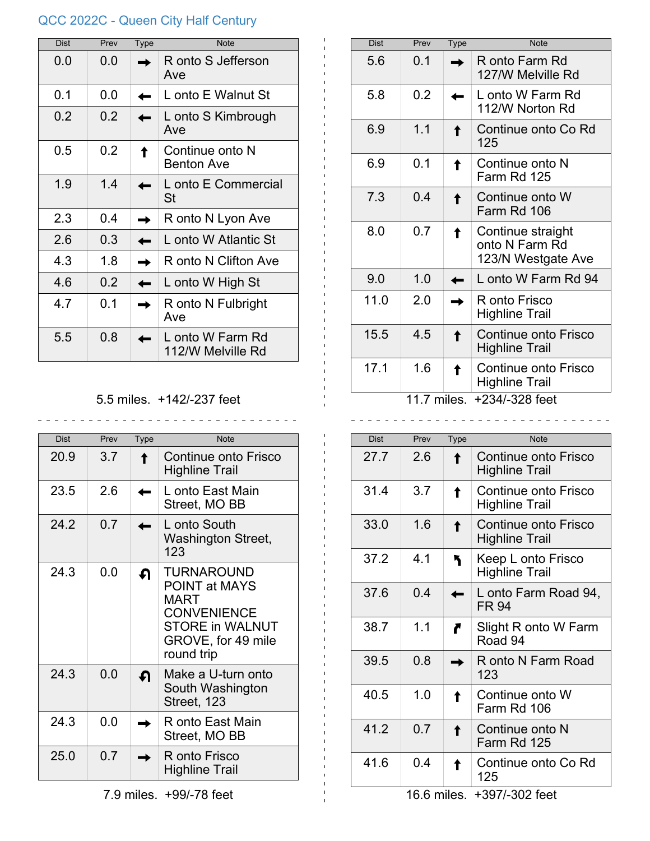## QCC 2022C - Queen City Half Century

| <b>Dist</b> | Prev | Type | <b>Note</b>                           |
|-------------|------|------|---------------------------------------|
| 0.0         | 0.0  |      | R onto S Jefferson<br>Ave             |
| 0.1         | 0.0  |      | L onto E Walnut St                    |
| 0.2         | 0.2  |      | L onto S Kimbrough<br>Ave             |
| 0.5         | 0.2  |      | Continue onto N<br><b>Benton Ave</b>  |
| 1.9         | 1.4  |      | L onto E Commercial<br>St             |
| 2.3         | 0.4  |      | R onto N Lyon Ave                     |
| 2.6         | 0.3  |      | L onto W Atlantic St                  |
| 4.3         | 1.8  |      | R onto N Clifton Ave                  |
| 4.6         | 0.2  |      | L onto W High St                      |
| 4.7         | 0.1  |      | R onto N Fulbright<br>Ave             |
| 5.5         | 0.8  |      | L onto W Farm Rd<br>112/W Melville Rd |

## 5.5 miles. +142/-237 feet

\_\_\_\_\_\_\_\_\_\_\_\_\_\_\_\_\_\_\_\_\_\_\_\_\_\_\_\_\_\_\_\_

 $\mathbf{I}$ 

 $\sim$   $\sim$ 

| <b>Dist</b> | Prev | <b>Type</b> | <b>Note</b>                                                                                                                                  |
|-------------|------|-------------|----------------------------------------------------------------------------------------------------------------------------------------------|
| 20.9        | 3.7  |             | Continue onto Frisco<br><b>Highline Trail</b>                                                                                                |
| 23.5        | 26   |             | L onto East Main<br>Street, MO BB                                                                                                            |
| 24.2        | 0.7  |             | L onto South<br><b>Washington Street,</b><br>123                                                                                             |
| 24.3        | 0.0  | ብ           | <b>TURNAROUND</b><br><b>POINT at MAYS</b><br><b>MART</b><br><b>CONVENIENCE</b><br><b>STORE in WALNUT</b><br>GROVE, for 49 mile<br>round trip |
| 24.3        | 0.0  | - ନ         | Make a U-turn onto<br>South Washington<br>Street, 123                                                                                        |
| 24.3        | 0.0  |             | R onto East Main<br>Street, MO BB                                                                                                            |
| 25.0        | 0.7  |             | R onto Frisco<br>Highline Trail                                                                                                              |

| <b>Dist</b>                   | Prev | Type | <b>Note</b>                                               |  |
|-------------------------------|------|------|-----------------------------------------------------------|--|
| 5.6                           | 0.1  |      | R onto Farm Rd<br>127/W Melville Rd                       |  |
| 5.8                           | 0.2  |      | L onto W Farm Rd<br>112/W Norton Rd                       |  |
| 6.9                           | 1.1  |      | Continue onto Co Rd<br>125                                |  |
| 6.9                           | 0.1  |      | Continue onto N<br>Farm Rd 125                            |  |
| 7.3                           | 0.4  |      | Continue onto W<br>Farm Rd 106                            |  |
| 8.0                           | 0.7  |      | Continue straight<br>onto N Farm Rd<br>123/N Westgate Ave |  |
| 9.0                           | 1.0  |      | L onto W Farm Rd 94                                       |  |
| 11.0                          | 2.0  |      | R onto Frisco<br><b>Highline Trail</b>                    |  |
| 15.5                          | 4.5  |      | Continue onto Frisco<br><b>Highline Trail</b>             |  |
| 17.1                          | 1.6  |      | Continue onto Frisco<br><b>Highline Trail</b>             |  |
| 11.7 miles.<br>+234/-328 feet |      |      |                                                           |  |

| Dist | Prev | <b>Type</b> | <b>Note</b>                                   |
|------|------|-------------|-----------------------------------------------|
| 27.7 | 26   |             | Continue onto Frisco<br><b>Highline Trail</b> |
| 31.4 | 3.7  |             | Continue onto Frisco<br><b>Highline Trail</b> |
| 33.0 | 1.6  |             | Continue onto Frisco<br><b>Highline Trail</b> |
| 37.2 | 4.1  |             | Keep L onto Frisco<br><b>Highline Trail</b>   |
| 37.6 | 0.4  |             | L onto Farm Road 94,<br><b>FR 94</b>          |
| 38.7 | 1.1  |             | Slight R onto W Farm<br>Road 94               |
| 39.5 | 0.8  |             | R onto N Farm Road<br>123                     |
| 40.5 | 1.0  |             | Continue onto W<br>Farm Rd 106                |
| 41.2 | 0.7  |             | Continue onto N<br>Farm Rd 125                |
| 41.6 | 0.4  |             | Continue onto Co Rd<br>125                    |

16.6 miles. +397/-302 feet

7.9 miles. +99/-78 feet